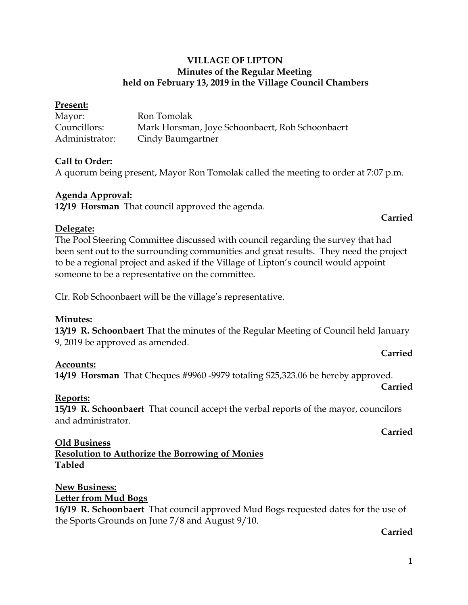### **VILLAGE OF LIPTON Minutes of the Regular Meeting held on February 13, 2019 in the Village Council Chambers**

| Present:       |                                                 |
|----------------|-------------------------------------------------|
| Mayor:         | Ron Tomolak                                     |
| Councillors:   | Mark Horsman, Joye Schoonbaert, Rob Schoonbaert |
| Administrator: | Cindy Baumgartner                               |

### **Call to Order:**

A quorum being present, Mayor Ron Tomolak called the meeting to order at 7:07 p.m.

#### **Agenda Approval:**

**12/19 Horsman** That council approved the agenda.

### **Carried**

**Carried**

**Carried**

**Carried**

#### **Delegate:**

The Pool Steering Committee discussed with council regarding the survey that had been sent out to the surrounding communities and great results. They need the project to be a regional project and asked if the Village of Lipton's council would appoint someone to be a representative on the committee.

Clr. Rob Schoonbaert will be the village's representative.

#### **Minutes:**

**13/19 R. Schoonbaert** That the minutes of the Regular Meeting of Council held January 9, 2019 be approved as amended.

## **Accounts:**

**14/19 Horsman** That Cheques #9960 -9979 totaling \$25,323.06 be hereby approved.

**Reports: 15/19 R. Schoonbaert** That council accept the verbal reports of the mayor, councilors and administrator.

### **Old Business**

**Resolution to Authorize the Borrowing of Monies Tabled**

#### **New Business:**

## **Letter from Mud Bogs**

**16/19 R. Schoonbaert** That council approved Mud Bogs requested dates for the use of the Sports Grounds on June 7/8 and August 9/10.

#### **Carried**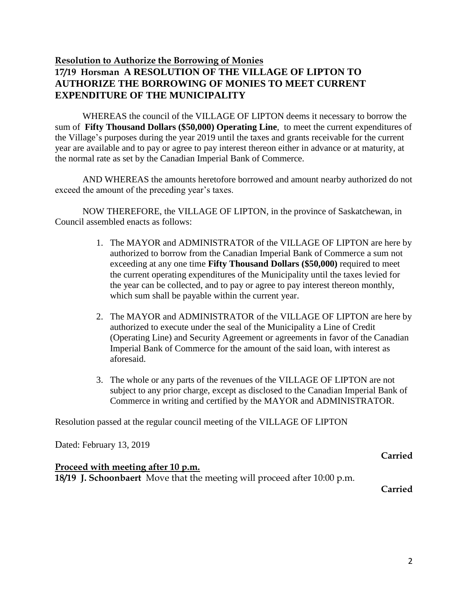## **Resolution to Authorize the Borrowing of Monies 17/19 Horsman A RESOLUTION OF THE VILLAGE OF LIPTON TO AUTHORIZE THE BORROWING OF MONIES TO MEET CURRENT EXPENDITURE OF THE MUNICIPALITY**

WHEREAS the council of the VILLAGE OF LIPTON deems it necessary to borrow the sum of **Fifty Thousand Dollars (\$50,000) Operating Line**, to meet the current expenditures of the Village's purposes during the year 2019 until the taxes and grants receivable for the current year are available and to pay or agree to pay interest thereon either in advance or at maturity, at the normal rate as set by the Canadian Imperial Bank of Commerce.

AND WHEREAS the amounts heretofore borrowed and amount nearby authorized do not exceed the amount of the preceding year's taxes.

NOW THEREFORE, the VILLAGE OF LIPTON, in the province of Saskatchewan, in Council assembled enacts as follows:

- 1. The MAYOR and ADMINISTRATOR of the VILLAGE OF LIPTON are here by authorized to borrow from the Canadian Imperial Bank of Commerce a sum not exceeding at any one time **Fifty Thousand Dollars (\$50,000)** required to meet the current operating expenditures of the Municipality until the taxes levied for the year can be collected, and to pay or agree to pay interest thereon monthly, which sum shall be payable within the current year.
- 2. The MAYOR and ADMINISTRATOR of the VILLAGE OF LIPTON are here by authorized to execute under the seal of the Municipality a Line of Credit (Operating Line) and Security Agreement or agreements in favor of the Canadian Imperial Bank of Commerce for the amount of the said loan, with interest as aforesaid.
- 3. The whole or any parts of the revenues of the VILLAGE OF LIPTON are not subject to any prior charge, except as disclosed to the Canadian Imperial Bank of Commerce in writing and certified by the MAYOR and ADMINISTRATOR.

Resolution passed at the regular council meeting of the VILLAGE OF LIPTON

Dated: February 13, 2019

#### **Proceed with meeting after 10 p.m.**

**18/19 J. Schoonbaert** Move that the meeting will proceed after 10:00 p.m.

**Carried**

**Carried**